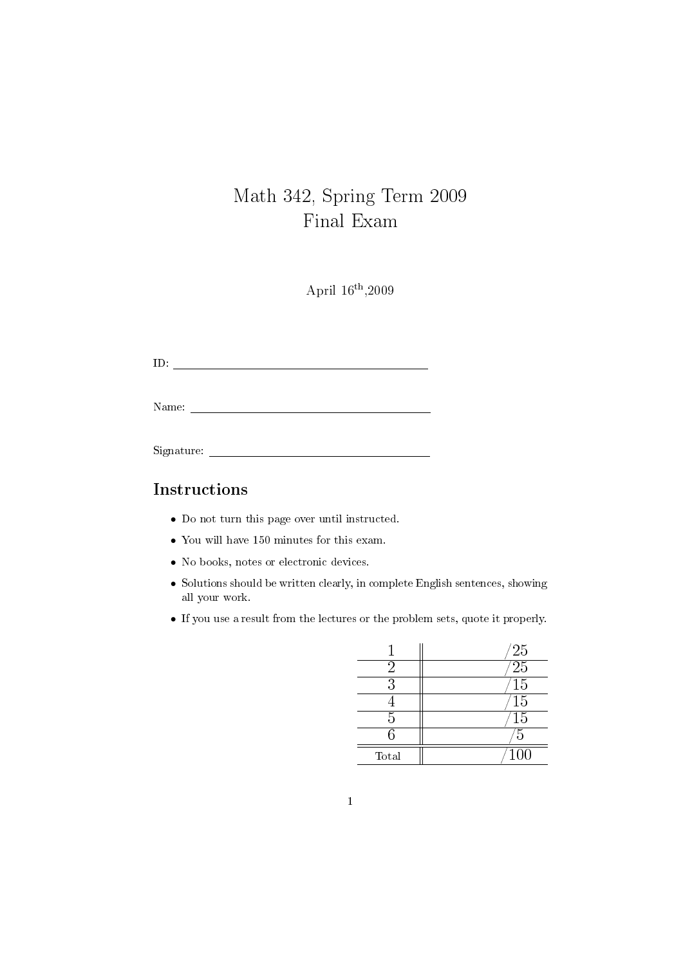# Math 342, Spring Term 2009 Final Exam

April 16th ,2009

ID:

Name: Name: Name: Name: Name: Name: Name: Name: Name: Name: Name: Name: Name: Name: Name: Name: Name: Name: Name: Name: Name: Name: Name: Name: Name: Name: Name: Name: Name: Name: Name: Name: Name: Name: Name: Name: Name:

Signature:

#### Instructions

- Do not turn this page over until instructed.
- You will have 150 minutes for this exam.
- No books, notes or electronic devices.
- Solutions should be written clearly, in complete English sentences, showing all your work.
- If you use a result from the lectures or the problem sets, quote it properly.

|       | $^{'}25$         |
|-------|------------------|
| '2    | $\overline{25}$  |
| 3     | $\overline{15}$  |
|       | $\overline{15}$  |
| 5     | $\overline{15}$  |
| ς     | 5                |
| Total | $\overline{100}$ |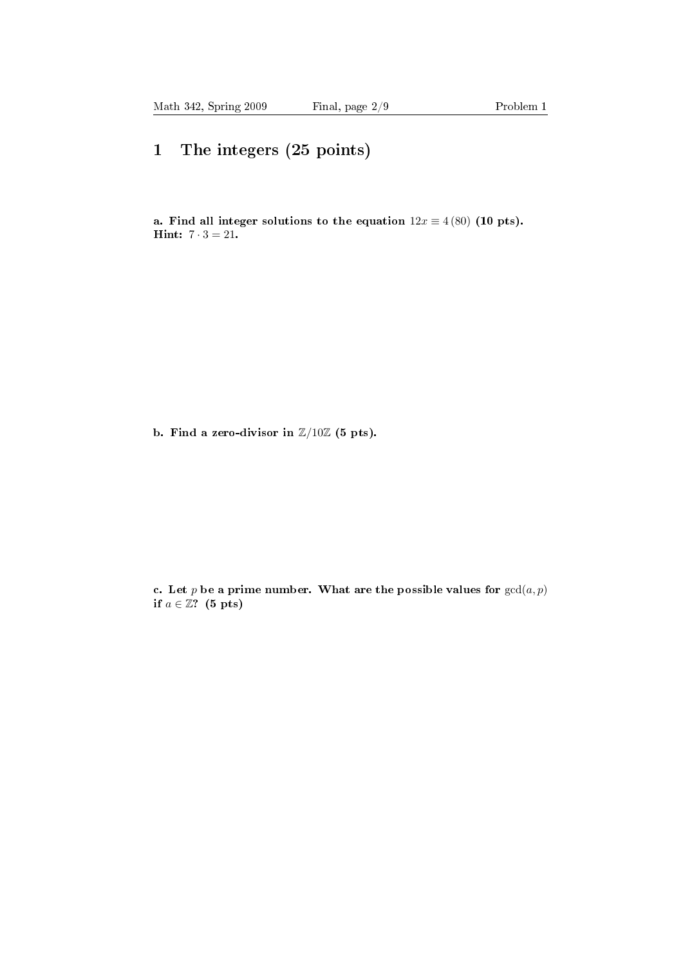## 1 The integers (25 points)

a. Find all integer solutions to the equation  $12x \equiv 4(80)$  (10 pts). **Hint:**  $7 \cdot 3 = 21$ .

b. Find a zero-divisor in  $\mathbb{Z}/10\mathbb{Z}$  (5 pts).

c. Let p be a prime number. What are the possible values for  $gcd(a, p)$ if  $a \in \mathbb{Z}$ ? (5 pts)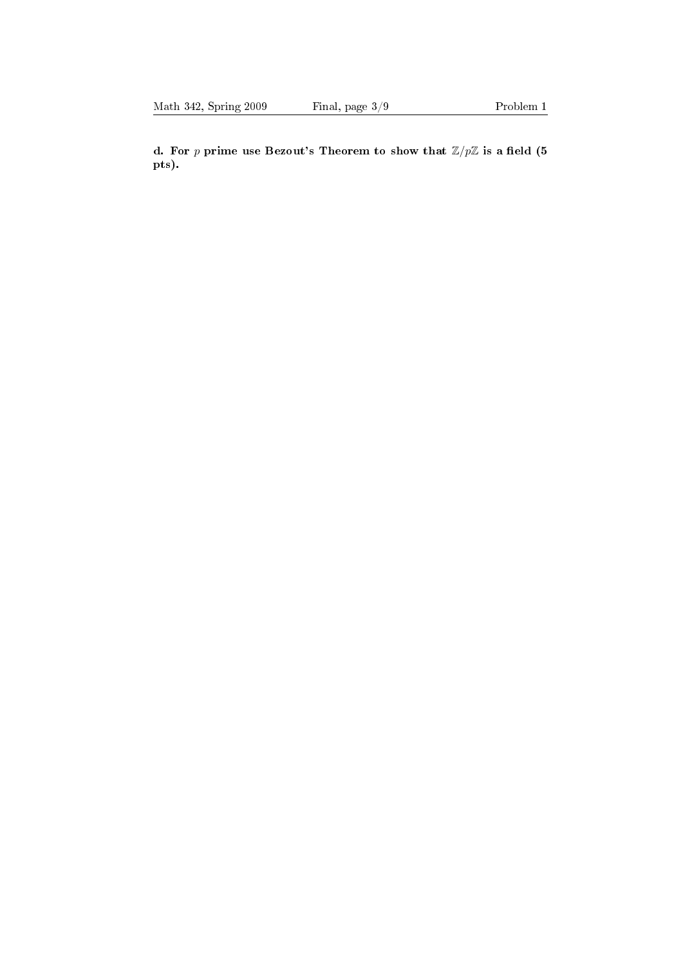d. For p prime use Bezout's Theorem to show that  $\mathbb{Z}/p\mathbb{Z}$  is a field (5) pts).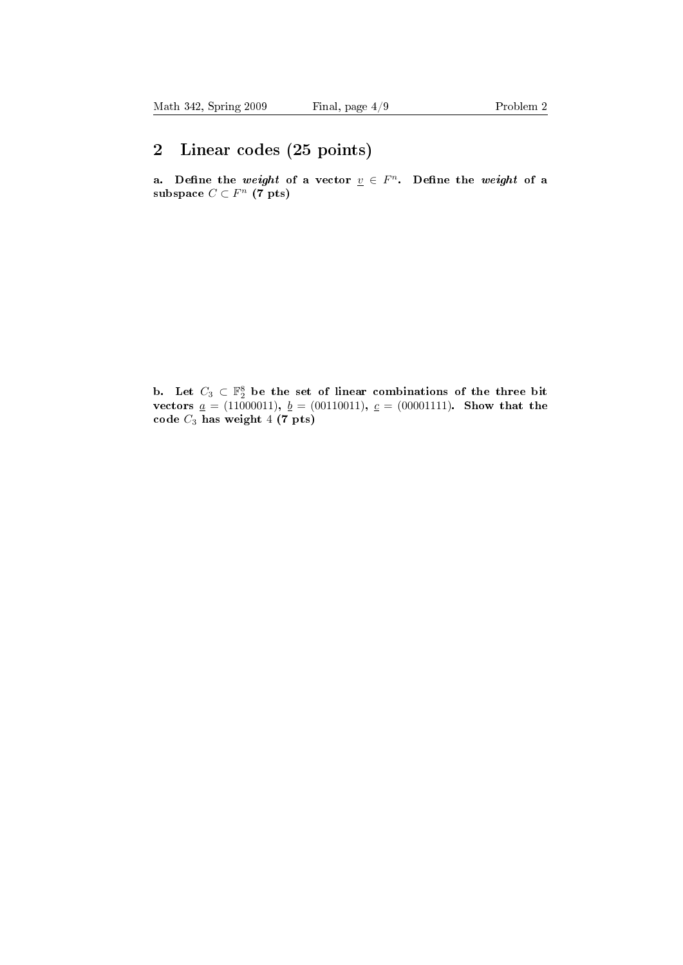### 2 Linear codes (25 points)

a. Define the weight of a vector  $\underline{v} \in F^n$ . Define the weight of a subspace  $C \subset F^n$  (7 pts)

b. Let  $C_3 \subset \mathbb{F}_2^8$  be the set of linear combinations of the three bit vectors  $\underline{a} = (11000011), \underline{b} = (00110011), \underline{c} = (00001111).$  Show that the code  $C_3$  has weight  $4(7$  pts)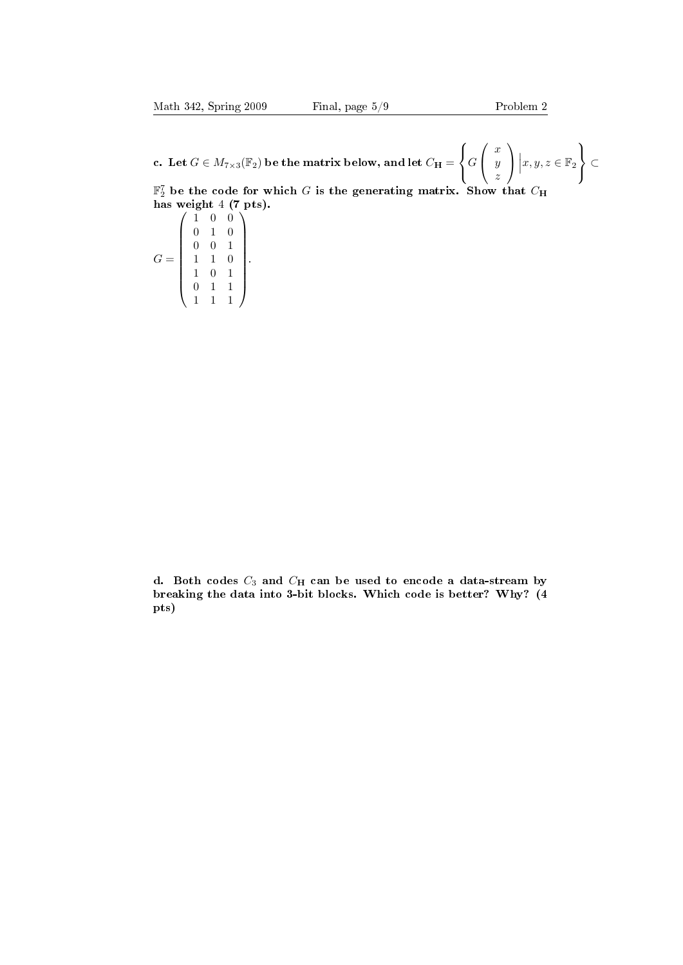c. Let  $G \in M_{7\times3}(\mathbb{F}_2)$  be the matrix below, and let  $C_{\mathbf{H}} =$  $\sqrt{ }$  $\left\vert \right\vert$  $\mathcal{L}$ G  $\sqrt{ }$  $\overline{1}$  $\boldsymbol{x}$  $\hat{y}$ z  $\setminus$  $\overline{1}$  $x, y, z \in \mathbb{F}_2$  $\lambda$  $\mathcal{L}$  $\left| \right|$ ⊂  $\mathbb{F}_2^7$  be the code for which  $G$  is the generating matrix. Show that  $C_\mathbf{H}$ 

has weight 4 (7 pts).  $G =$  $\sqrt{ }$  $\overline{\phantom{a}}$  $(1 \ 0 \ 0)$ 0 1 0 0 0 1 1 1 0 1 0 1 0 1 1 1 1 1  $\setminus$  $\begin{array}{c} \hline \end{array}$ .

d. Both codes  $C_3$  and  $C_H$  can be used to encode a data-stream by breaking the data into 3-bit blocks. Which code is better? Why? (4 pts)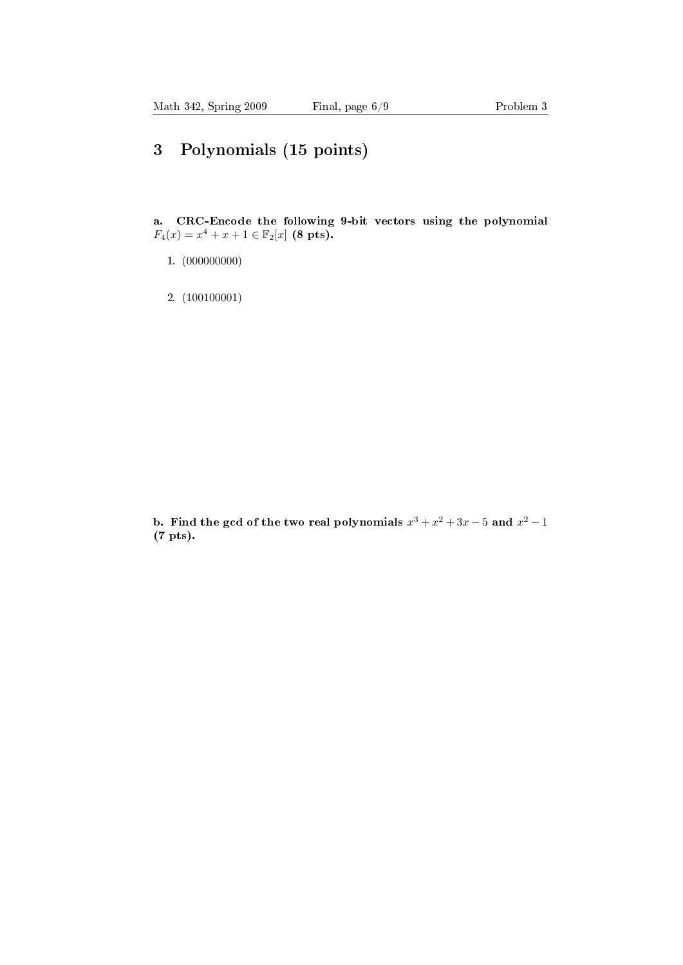## 3 Polynomials (15 points)

a. CRC-Encode the following 9-bit vectors using the polynomial  $F_4(x) = x^4 + x + 1 \in \mathbb{F}_2[x]$  (8 pts).

- 1. (000000000)
- 2. (100100001)

b. Find the gcd of the two real polynomials  $x^3 + x^2 + 3x - 5$  and  $x^2 - 1$ (7 pts).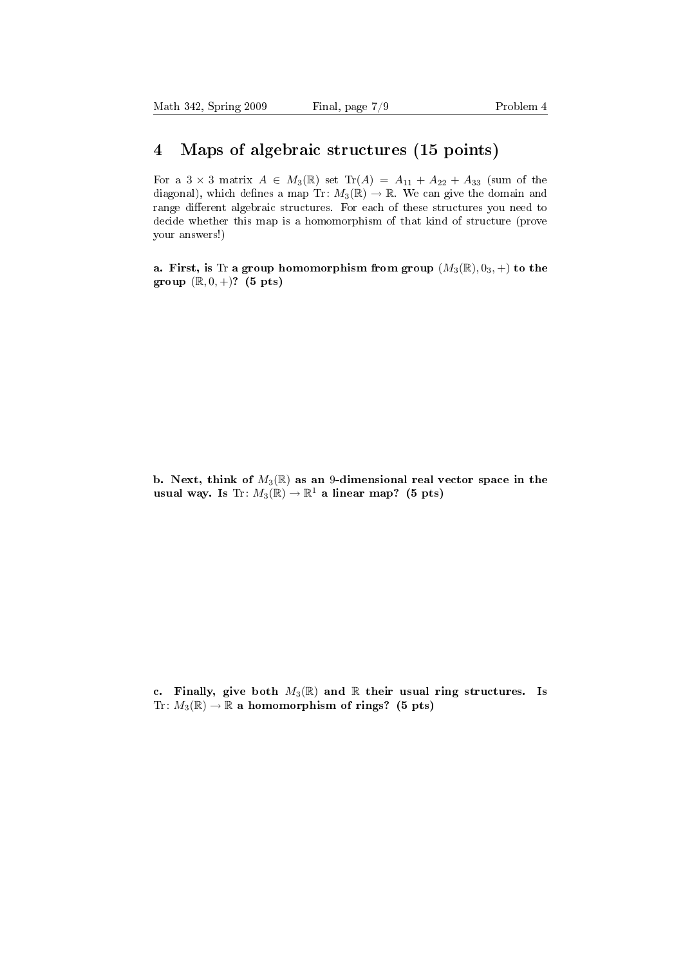#### 4 Maps of algebraic structures (15 points)

For a  $3 \times 3$  matrix  $A \in M_3(\mathbb{R})$  set  $Tr(A) = A_{11} + A_{22} + A_{33}$  (sum of the diagonal), which defines a map Tr:  $M_3(\mathbb{R}) \to \mathbb{R}$ . We can give the domain and range different algebraic structures. For each of these structures you need to decide whether this map is a homomorphism of that kind of structure (prove your answers!)

a. First, is Tr a group homomorphism from group  $(M_3(\mathbb{R}), 0_3, +)$  to the group  $(\mathbb{R}, 0, +)$ ? (5 pts)

b. Next, think of  $M_3(\mathbb{R})$  as an 9-dimensional real vector space in the usual way. Is Tr:  $M_3(\mathbb{R}) \to \mathbb{R}^1$  a linear map? (5 pts)

c. Finally, give both  $M_3(\mathbb{R})$  and  $\mathbb R$  their usual ring structures. Is Tr:  $M_3(\mathbb{R}) \to \mathbb{R}$  a homomorphism of rings? (5 pts)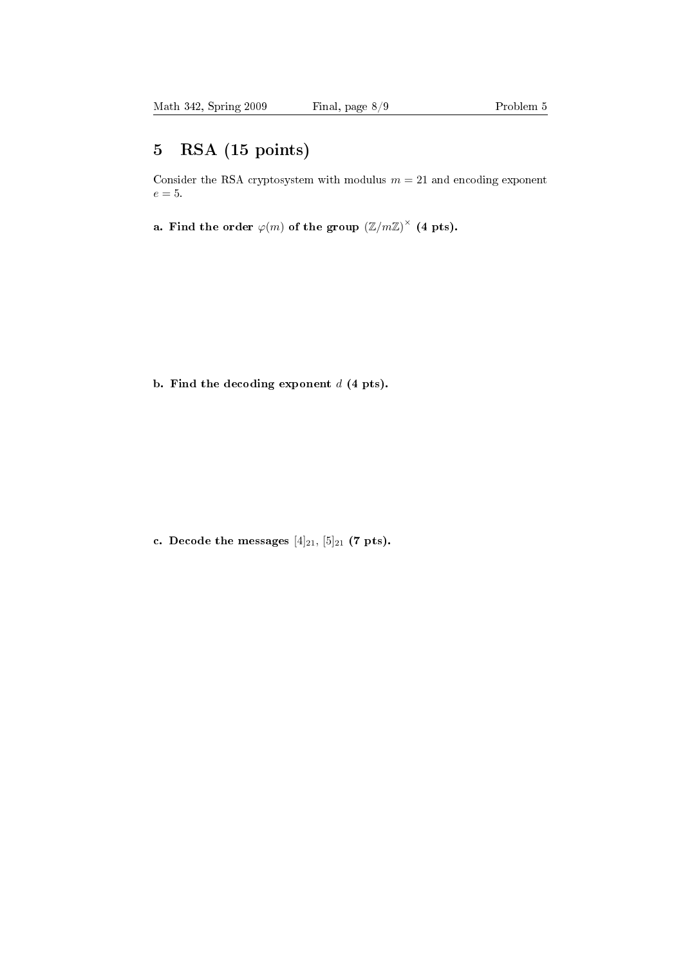### 5 RSA (15 points)

Consider the RSA cryptosystem with modulus  $m=21$  and encoding exponent  $e=5.$ 

a. Find the order  $\varphi(m)$  of the group  $\left(\mathbb{Z}/m\mathbb{Z}\right)^{\times}$  (4 pts).

b. Find the decoding exponent  $d$  (4 pts).

c. Decode the messages  $[4]_{21}$ ,  $[5]_{21}$  (7 pts).